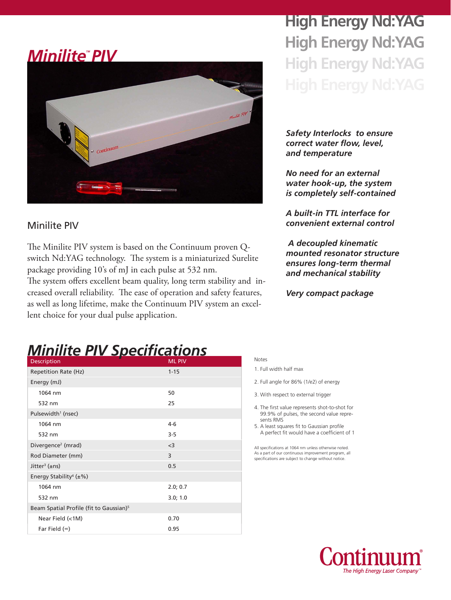### *MiniliteTM PIV*



#### Minilite PIV

The Minilite PIV system is based on the Continuum proven Qswitch Nd:YAG technology. The system is a miniaturized Surelite package providing 10's of mJ in each pulse at 532 nm.

The system offers excellent beam quality, long term stability and increased overall reliability. The ease of operation and safety features, as well as long lifetime, make the Continuum PIV system an excellent choice for your dual pulse application.

# **High Energy Nd:YAG High Energy Nd:YAG High Energy Nd:YAG**

*Safety Interlocks to ensure correct water flow, level, and temperature*

*No need for an external water hook-up, the system is completely self-contained*

*A built-in TTL interface for convenient external control*

 *A decoupled kinematic mounted resonator structure ensures long-term thermal and mechanical stability*

*Very compact package*

### *Minilite PIV Specifications*

| <b>Description</b>                                  | <b>ML PIV</b> |
|-----------------------------------------------------|---------------|
| <b>Repetition Rate (Hz)</b>                         | $1 - 15$      |
| Energy (mJ)                                         |               |
| 1064 nm                                             | 50            |
| 532 nm                                              | 25            |
| Pulsewidth <sup>1</sup> (nsec)                      |               |
| 1064 nm                                             | $4-6$         |
| 532 nm                                              | $3 - 5$       |
| Divergence <sup>2</sup> (mrad)                      | $<$ 3         |
| Rod Diameter (mm)                                   | 3             |
| Jitter <sup>3</sup> ( $\pm$ ns)                     | 0.5           |
| Energy Stability <sup>4</sup> ( $\pm\%$ )           |               |
| 1064 nm                                             | 2.0; 0.7      |
| 532 nm                                              | 3.0; 1.0      |
| Beam Spatial Profile (fit to Gaussian) <sup>5</sup> |               |
| Near Field (<1M)                                    | 0.70          |
| Far Field $(\infty)$                                | 0.95          |

#### Notes

- 2. Full angle for 86% (1/e2) of energy
- 3. With respect to external trigger
- 4. The first value represents shot-to-shot for 99.9% of pulses, the second value repre sents RMS
- 5. A least squares fit to Gaussian profile A perfect fit would have a coefficient of 1

All specifications at 1064 nm unless otherwise noted. As a part of our continuous improvement program, all specifications are subject to change without notice.



<sup>1.</sup> Full width half max